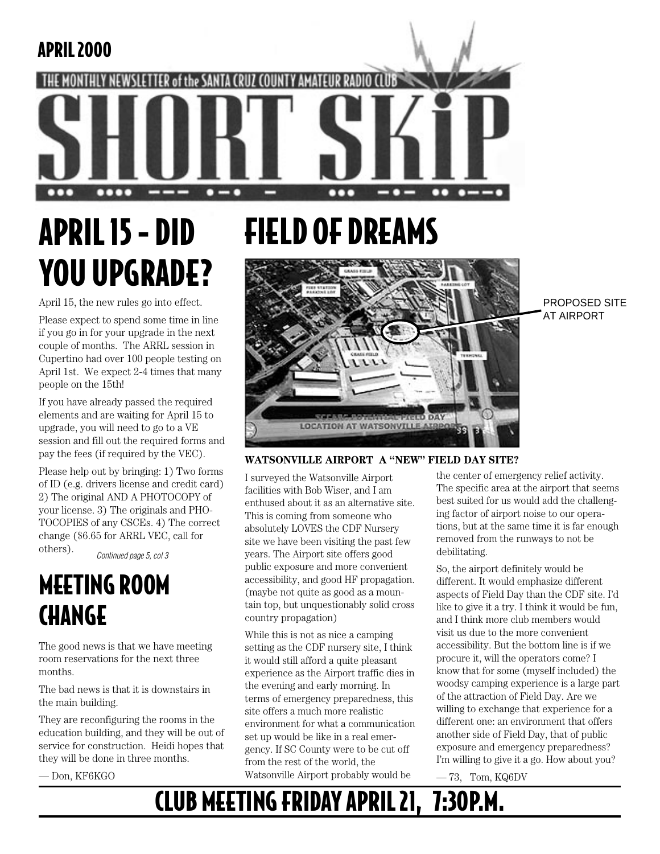### APRIL 2000

IHL MONTHLY

# APRIL 15 - DID YOU UPGRADE?

 $\bullet\bullet\bullet\bullet$ 

NEWSLETTER of the SANTA CRUZ COUNTY AMATEUR

April 15, the new rules go into effect.

Please expect to spend some time in line if you go in for your upgrade in the next couple of months. The ARRL session in Cupertino had over 100 people testing on April 1st. We expect 2-4 times that many people on the 15th!

If you have already passed the required elements and are waiting for April 15 to upgrade, you will need to go to a VE session and fill out the required forms and pay the fees (if required by the VEC).

Please help out by bringing: 1) Two forms of ID (e.g. drivers license and credit card) 2) The original AND A PHOTOCOPY of your license. 3) The originals and PHO-TOCOPIES of any CSCEs. 4) The correct change (\$6.65 for ARRL VEC, call for others).

Continued page 5, col 3

## MEETING ROOM **CHANGE**

The good news is that we have meeting room reservations for the next three months.

The bad news is that it is downstairs in the main building.

They are reconfiguring the rooms in the education building, and they will be out of service for construction. Heidi hopes that they will be done in three months.

— Don, KF6KGO

# FIELD OF DREAMS

RADIO



PROPOSED SITE AT AIRPORT

#### **WATSONVILLE AIRPORT A "NEW" FIELD DAY SITE?**

I surveyed the Watsonville Airport facilities with Bob Wiser, and I am enthused about it as an alternative site. This is coming from someone who absolutely LOVES the CDF Nursery site we have been visiting the past few years. The Airport site offers good public exposure and more convenient accessibility, and good HF propagation. (maybe not quite as good as a mountain top, but unquestionably solid cross country propagation)

While this is not as nice a camping setting as the CDF nursery site, I think it would still afford a quite pleasant experience as the Airport traffic dies in the evening and early morning. In terms of emergency preparedness, this site offers a much more realistic environment for what a communication set up would be like in a real emergency. If SC County were to be cut off from the rest of the world, the Watsonville Airport probably would be

the center of emergency relief activity. The specific area at the airport that seems best suited for us would add the challenging factor of airport noise to our operations, but at the same time it is far enough removed from the runways to not be debilitating.

 $---$ 

 $\bullet\bullet$ 

- - -

So, the airport definitely would be different. It would emphasize different aspects of Field Day than the CDF site. I'd like to give it a try. I think it would be fun, and I think more club members would visit us due to the more convenient accessibility. But the bottom line is if we procure it, will the operators come? I know that for some (myself included) the woodsy camping experience is a large part of the attraction of Field Day. Are we willing to exchange that experience for a different one: an environment that offers another side of Field Day, that of public exposure and emergency preparedness? I'm willing to give it a go. How about you?

 $-73$ , Tom, KQ6DV

## CLUB MEETING FRIDAY APRIL 21, 7:30P.M.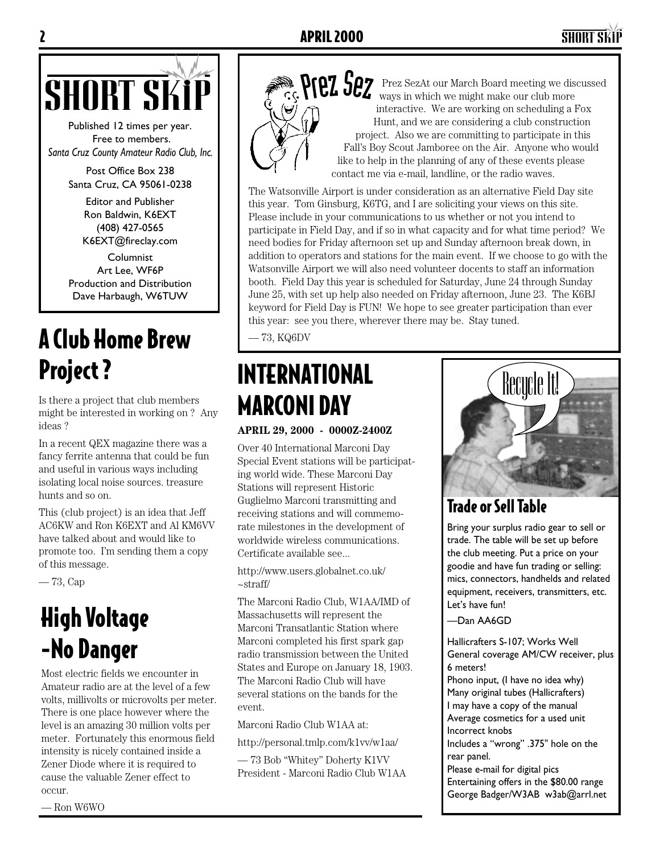## 2 APRIL 2000 SHORT SKiP



Published 12 times per year. Free to members. *Santa Cruz County Amateur Radio Club, Inc.*

> Post Office Box 238 Santa Cruz, CA 95061-0238

> > Editor and Publisher Ron Baldwin, K6EXT (408) 427-0565 K6EXT@fireclay.com

Columnist Art Lee, WF6P Production and Distribution Dave Harbaugh, W6TUW

## A Club Home Brew Project ?

Is there a project that club members might be interested in working on ? Any ideas ?

In a recent QEX magazine there was a fancy ferrite antenna that could be fun and useful in various ways including isolating local noise sources. treasure hunts and so on.

This (club project) is an idea that Jeff AC6KW and Ron K6EXT and Al KM6VV have talked about and would like to promote too. I'm sending them a copy of this message.

— 73, Cap

## High Voltage -No Danger

Most electric fields we encounter in Amateur radio are at the level of a few volts, millivolts or microvolts per meter. There is one place however where the level is an amazing 30 million volts per meter. Fortunately this enormous field intensity is nicely contained inside a Zener Diode where it is required to cause the valuable Zener effect to occur.



**SHORT SKIP PRESERVICE SEX** PRESERVICE THE MARK WAS SERVICE TO THE MARK SURVICE TO THE MARK OUR MARK OUR CONTROLLED MARK ON SCHOOL AS FOX ways in which we might make our club more interactive. We are working on scheduling a Fox Hunt, and we are considering a club construction project. Also we are committing to participate in this Fall's Boy Scout Jamboree on the Air. Anyone who would like to help in the planning of any of these events please contact me via e-mail, landline, or the radio waves.

> The Watsonville Airport is under consideration as an alternative Field Day site this year. Tom Ginsburg, K6TG, and I are soliciting your views on this site. Please include in your communications to us whether or not you intend to participate in Field Day, and if so in what capacity and for what time period? We need bodies for Friday afternoon set up and Sunday afternoon break down, in addition to operators and stations for the main event. If we choose to go with the Watsonville Airport we will also need volunteer docents to staff an information booth. Field Day this year is scheduled for Saturday, June 24 through Sunday June 25, with set up help also needed on Friday afternoon, June 23. The K6BJ keyword for Field Day is FUN! We hope to see greater participation than ever this year: see you there, wherever there may be. Stay tuned.

— 73, KQ6DV

## INTERNATIONAL MARCONI DAY

**APRIL 29, 2000 - 0000Z-2400Z**

Over 40 International Marconi Day Special Event stations will be participating world wide. These Marconi Day Stations will represent Historic Guglielmo Marconi transmitting and receiving stations and will commemorate milestones in the development of worldwide wireless communications. Certificate available see...

http://www.users.globalnet.co.uk/ ~straff/

The Marconi Radio Club, W1AA/IMD of Massachusetts will represent the Marconi Transatlantic Station where Marconi completed his first spark gap radio transmission between the United States and Europe on January 18, 1903. The Marconi Radio Club will have several stations on the bands for the event.

Marconi Radio Club W1AA at:

http://personal.tmlp.com/k1vv/w1aa/

— 73 Bob "Whitey" Doherty K1VV President - Marconi Radio Club W1AA



### Trade or Sell Table

Bring your surplus radio gear to sell or trade. The table will be set up before the club meeting. Put a price on your goodie and have fun trading or selling: mics, connectors, handhelds and related equipment, receivers, transmitters, etc. Let's have fun!

—Dan AA6GD

Hallicrafters S-107; Works Well General coverage AM/CW receiver, plus 6 meters! Phono input, (I have no idea why) Many original tubes (Hallicrafters) I may have a copy of the manual Average cosmetics for a used unit Incorrect knobs Includes a "wrong" .375" hole on the rear panel. Please e-mail for digital pics Entertaining offers in the \$80.00 range George Badger/W3AB w3ab@arrl.net

— Ron W6WO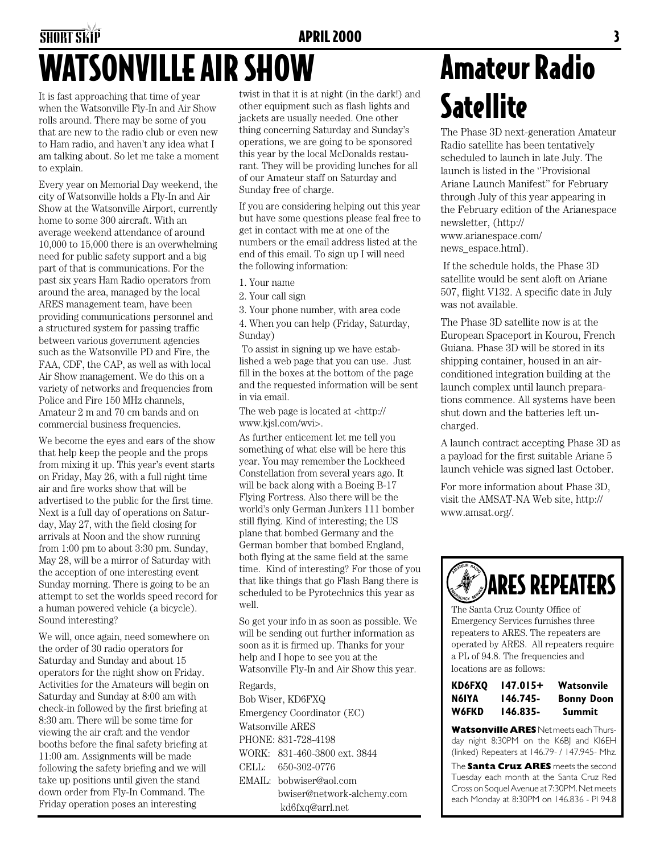## SHORT SKIP **APRIL 2000 3** WATSONVILLE AIR SHOW

It is fast approaching that time of year when the Watsonville Fly-In and Air Show rolls around. There may be some of you that are new to the radio club or even new to Ham radio, and haven't any idea what I am talking about. So let me take a moment to explain.

Every year on Memorial Day weekend, the city of Watsonville holds a Fly-In and Air Show at the Watsonville Airport, currently home to some 300 aircraft. With an average weekend attendance of around 10,000 to 15,000 there is an overwhelming need for public safety support and a big part of that is communications. For the past six years Ham Radio operators from around the area, managed by the local ARES management team, have been providing communications personnel and a structured system for passing traffic between various government agencies such as the Watsonville PD and Fire, the FAA, CDF, the CAP, as well as with local Air Show management. We do this on a variety of networks and frequencies from Police and Fire 150 MHz channels, Amateur 2 m and 70 cm bands and on commercial business frequencies.

We become the eyes and ears of the show that help keep the people and the props from mixing it up. This year's event starts on Friday, May 26, with a full night time air and fire works show that will be advertised to the public for the first time. Next is a full day of operations on Saturday, May 27, with the field closing for arrivals at Noon and the show running from 1:00 pm to about 3:30 pm. Sunday, May 28, will be a mirror of Saturday with the acception of one interesting event Sunday morning. There is going to be an attempt to set the worlds speed record for a human powered vehicle (a bicycle). Sound interesting?

We will, once again, need somewhere on the order of 30 radio operators for Saturday and Sunday and about 15 operators for the night show on Friday. Activities for the Amateurs will begin on Saturday and Sunday at 8:00 am with check-in followed by the first briefing at 8:30 am. There will be some time for viewing the air craft and the vendor booths before the final safety briefing at 11:00 am. Assignments will be made following the safety briefing and we will take up positions until given the stand down order from Fly-In Command. The Friday operation poses an interesting

twist in that it is at night (in the dark!) and other equipment such as flash lights and jackets are usually needed. One other thing concerning Saturday and Sunday's operations, we are going to be sponsored this year by the local McDonalds restaurant. They will be providing lunches for all of our Amateur staff on Saturday and Sunday free of charge.

If you are considering helping out this year but have some questions please feal free to get in contact with me at one of the numbers or the email address listed at the end of this email. To sign up I will need the following information:

- 1. Your name
- 2. Your call sign
- 3. Your phone number, with area code

4. When you can help (Friday, Saturday, Sunday)

 To assist in signing up we have established a web page that you can use. Just fill in the boxes at the bottom of the page and the requested information will be sent in via email.

The web page is located at <http:// www.kjsl.com/wvi>.

As further enticement let me tell you something of what else will be here this year. You may remember the Lockheed Constellation from several years ago. It will be back along with a Boeing B-17 Flying Fortress. Also there will be the world's only German Junkers 111 bomber still flying. Kind of interesting; the US plane that bombed Germany and the German bomber that bombed England, both flying at the same field at the same time. Kind of interesting? For those of you that like things that go Flash Bang there is scheduled to be Pyrotechnics this year as well.

So get your info in as soon as possible. We will be sending out further information as soon as it is firmed up. Thanks for your help and I hope to see you at the Watsonville Fly-In and Air Show this year.

Regards, Bob Wiser, KD6FXQ Emergency Coordinator (EC) Watsonville ARES PHONE: 831-728-4198 WORK: 831-460-3800 ext. 3844 CELL: 650-302-0776 EMAIL: bobwiser@aol.com bwiser@network-alchemy.com kd6fxq@arrl.net

# Amateur Radio **Satellite**

The Phase 3D next-generation Amateur Radio satellite has been tentatively scheduled to launch in late July. The launch is listed in the ''Provisional Ariane Launch Manifest'' for February through July of this year appearing in the February edition of the Arianespace newsletter, (http:// www.arianespace.com/ news\_espace.html).

 If the schedule holds, the Phase 3D satellite would be sent aloft on Ariane 507, flight V132. A specific date in July was not available.

The Phase 3D satellite now is at the European Spaceport in Kourou, French Guiana. Phase 3D will be stored in its shipping container, housed in an airconditioned integration building at the launch complex until launch preparations commence. All systems have been shut down and the batteries left uncharged.

A launch contract accepting Phase 3D as a payload for the first suitable Ariane 5 launch vehicle was signed last October.

For more information about Phase 3D, visit the AMSAT-NA Web site, http:// www.amsat.org/.



The Santa Cruz County Office of Emergency Services furnishes three repeaters to ARES. The repeaters are operated by ARES. All repeaters require a PL of 94.8. The frequencies and locations are as follows:

| KD6FXO | 147.015+ | Watsonvile        |  |
|--------|----------|-------------------|--|
| N6IYA  | 146.745- | <b>Bonny Doon</b> |  |
| W6FKD  | 146.835- | Summit            |  |

**Watsonville ARES** Net meets each Thursday night 8:30PM on the K6BJ and KI6EH (linked) Repeaters at 146.79- / 147.945- Mhz.

The **Santa Cruz ARES** meets the second Tuesday each month at the Santa Cruz Red Cross on Soquel Avenue at 7:30PM. Net meets each Monday at 8:30PM on 146.836 - Pl 94.8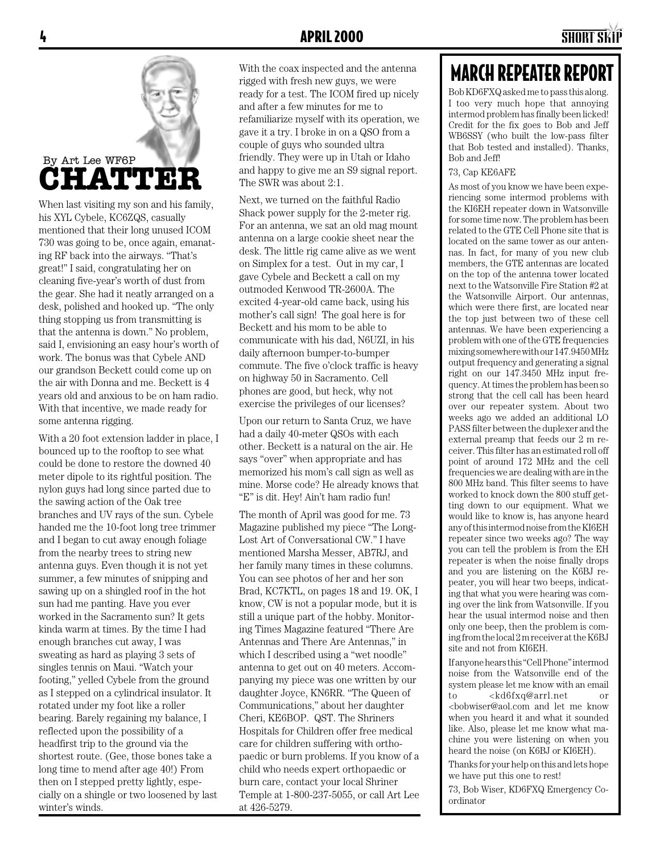

When last visiting my son and his family, his XYL Cybele, KC6ZQS, casually mentioned that their long unused ICOM 730 was going to be, once again, emanating RF back into the airways. "That's great!" I said, congratulating her on cleaning five-year's worth of dust from the gear. She had it neatly arranged on a desk, polished and hooked up. "The only thing stopping us from transmitting is that the antenna is down." No problem, said I, envisioning an easy hour's worth of work. The bonus was that Cybele AND our grandson Beckett could come up on the air with Donna and me. Beckett is 4 years old and anxious to be on ham radio. With that incentive, we made ready for some antenna rigging.

With a 20 foot extension ladder in place, I bounced up to the rooftop to see what could be done to restore the downed 40 meter dipole to its rightful position. The nylon guys had long since parted due to the sawing action of the Oak tree branches and UV rays of the sun. Cybele handed me the 10-foot long tree trimmer and I began to cut away enough foliage from the nearby trees to string new antenna guys. Even though it is not yet summer, a few minutes of snipping and sawing up on a shingled roof in the hot sun had me panting. Have you ever worked in the Sacramento sun? It gets kinda warm at times. By the time I had enough branches cut away, I was sweating as hard as playing 3 sets of singles tennis on Maui. "Watch your footing," yelled Cybele from the ground as I stepped on a cylindrical insulator. It rotated under my foot like a roller bearing. Barely regaining my balance, I reflected upon the possibility of a headfirst trip to the ground via the shortest route. (Gee, those bones take a long time to mend after age 40!) From then on I stepped pretty lightly, especially on a shingle or two loosened by last winter's winds.

With the coax inspected and the antenna rigged with fresh new guys, we were ready for a test. The ICOM fired up nicely and after a few minutes for me to refamiliarize myself with its operation, we gave it a try. I broke in on a QSO from a couple of guys who sounded ultra friendly. They were up in Utah or Idaho and happy to give me an S9 signal report. The SWR was about 2:1.

Next, we turned on the faithful Radio Shack power supply for the 2-meter rig. For an antenna, we sat an old mag mount antenna on a large cookie sheet near the desk. The little rig came alive as we went on Simplex for a test. Out in my car, I gave Cybele and Beckett a call on my outmoded Kenwood TR-2600A. The excited 4-year-old came back, using his mother's call sign! The goal here is for Beckett and his mom to be able to communicate with his dad, N6UZI, in his daily afternoon bumper-to-bumper commute. The five o'clock traffic is heavy on highway 50 in Sacramento. Cell phones are good, but heck, why not exercise the privileges of our licenses?

Upon our return to Santa Cruz, we have had a daily 40-meter QSOs with each other. Beckett is a natural on the air. He says "over" when appropriate and has memorized his mom's call sign as well as mine. Morse code? He already knows that "E" is dit. Hey! Ain't ham radio fun!

The month of April was good for me. 73 Magazine published my piece "The Long-Lost Art of Conversational CW." I have mentioned Marsha Messer, AB7RJ, and her family many times in these columns. You can see photos of her and her son Brad, KC7KTL, on pages 18 and 19. OK, I know, CW is not a popular mode, but it is still a unique part of the hobby. Monitoring Times Magazine featured "There Are Antennas and There Are Antennas," in which I described using a "wet noodle" antenna to get out on 40 meters. Accompanying my piece was one written by our daughter Joyce, KN6RR. "The Queen of Communications," about her daughter Cheri, KE6BOP. QST. The Shriners Hospitals for Children offer free medical care for children suffering with orthopaedic or burn problems. If you know of a child who needs expert orthopaedic or burn care, contact your local Shriner Temple at 1-800-237-5055, or call Art Lee at 426-5279.

### MARCH REPEATER REPORT

Bob KD6FXQ asked me to pass this along. I too very much hope that annoying intermod problem has finally been licked! Credit for the fix goes to Bob and Jeff WB6SSY (who built the low-pass filter that Bob tested and installed). Thanks, Bob and Jeff!

#### 73, Cap KE6AFE

As most of you know we have been experiencing some intermod problems with the KI6EH repeater down in Watsonville for some time now. The problem has been related to the GTE Cell Phone site that is located on the same tower as our antennas. In fact, for many of you new club members, the GTE antennas are located on the top of the antenna tower located next to the Watsonville Fire Station #2 at the Watsonville Airport. Our antennas, which were there first, are located near the top just between two of these cell antennas. We have been experiencing a problem with one of the GTE frequencies mixing somewhere with our 147.9450 MHz output frequency and generating a signal right on our 147.3450 MHz input frequency. At times the problem has been so strong that the cell call has been heard over our repeater system. About two weeks ago we added an additional LO PASS filter between the duplexer and the external preamp that feeds our 2 m receiver. This filter has an estimated roll off point of around 172 MHz and the cell frequencies we are dealing with are in the 800 MHz band. This filter seems to have worked to knock down the 800 stuff getting down to our equipment. What we would like to know is, has anyone heard any of this intermod noise from the KI6EH repeater since two weeks ago? The way you can tell the problem is from the EH repeater is when the noise finally drops and you are listening on the K6BJ repeater, you will hear two beeps, indicating that what you were hearing was coming over the link from Watsonville. If you hear the usual intermod noise and then only one beep, then the problem is coming from the local 2 m receiver at the K6BJ site and not from KI6EH.

If anyone hears this "Cell Phone" intermod noise from the Watsonville end of the system please let me know with an email to <kd6fxq@arrl.net or <bobwiser@aol.com and let me know when you heard it and what it sounded like. Also, please let me know what machine you were listening on when you heard the noise (on K6BJ or KI6EH).

Thanks for your help on this and lets hope we have put this one to rest!

73, Bob Wiser, KD6FXQ Emergency Coordinator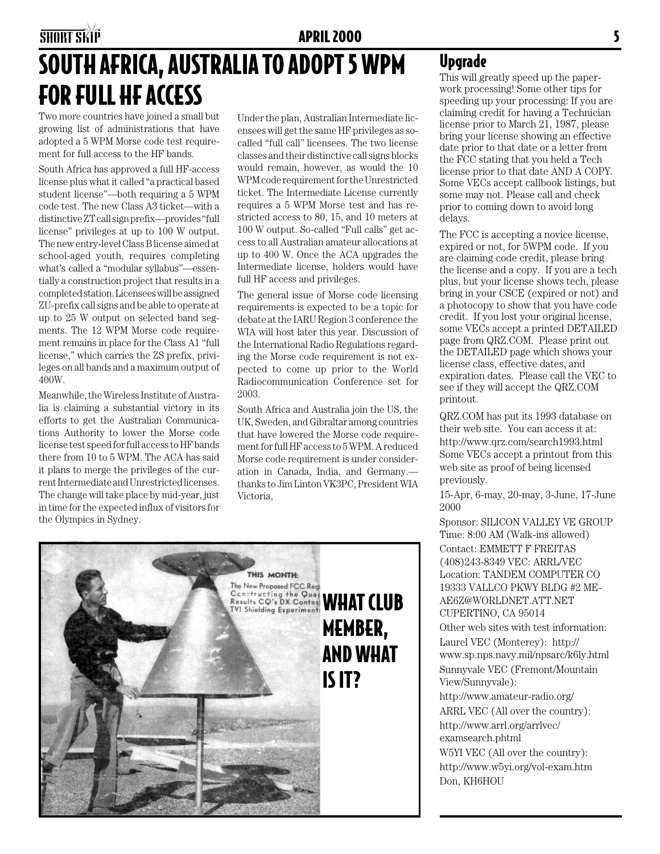## SOUTH AFRICA, AUSTRALIA TO ADOPT 5 WPM FOR FULL HF ACCESS

Two more countries have joined a small but growing list of administrations that have adopted a 5 WPM Morse code test requirement for full access to the HF bands.

South Africa has approved a full HF-access license plus what it called "a practical based student license"—both requiring a 5 WPM code test. The new Class A3 ticket—with a distinctive ZT call sign prefix—provides "full license" privileges at up to 100 W output. The new entry-level Class B license aimed at school-aged youth, requires completing what's called a "modular syllabus"—essentially a construction project that results in a completed station. Licensees will be assigned ZU-prefix call signs and be able to operate at up to 25 W output on selected band segments. The 12 WPM Morse code requirement remains in place for the Class A1 "full license," which carries the ZS prefix, privileges on all bands and a maximum output of 400W.

Meanwhile, the Wireless Institute of Australia is claiming a substantial victory in its efforts to get the Australian Communications Authority to lower the Morse code license test speed for full access to HF bands there from 10 to 5 WPM. The ACA has said it plans to merge the privileges of the current Intermediate and Unrestricted licenses. The change will take place by mid-year, just in time for the expected influx of visitors for the Olympics in Sydney.

Under the plan, Australian Intermediate licensees will get the same HF privileges as socalled "full call" licensees. The two license classes and their distinctive call signs blocks would remain, however, as would the 10 WPM code requirement for the Unrestricted ticket. The Intermediate License currently requires a 5 WPM Morse test and has restricted access to 80, 15, and 10 meters at 100 W output. So-called "Full calls" get access to all Australian amateur allocations at up to 400 W. Once the ACA upgrades the Intermediate license, holders would have full HF access and privileges.

The general issue of Morse code licensing requirements is expected to be a topic for debate at the IARU Region 3 conference the WIA will host later this year. Discussion of the International Radio Regulations regarding the Morse code requirement is not expected to come up prior to the World Radiocommunication Conference set for 2003.

South Africa and Australia join the US, the UK, Sweden, and Gibraltar among countries that have lowered the Morse code requirement for full HF access to 5 WPM. A reduced Morse code requirement is under consideration in Canada, India, and Germany. thanks to Jim Linton VK3PC, President WIA Victoria,



#### Upgrade

This will greatly speed up the paperwork processing! Some other tips for speeding up your processing: If you are claiming credit for having a Technician license prior to March 21, 1987, please bring your license showing an effective date prior to that date or a letter from the FCC stating that you held a Tech license prior to that date AND A COPY. Some VECs accept callbook listings, but some may not. Please call and check prior to coming down to avoid long delays.

The FCC is accepting a novice license, expired or not, for 5WPM code. If you are claiming code credit, please bring the license and a copy. If you are a tech plus, but your license shows tech, please bring in your CSCE (expired or not) and a photocopy to show that you have code credit. If you lost your original license, some VECs accept a printed DETAILED page from QRZ.COM. Please print out the DETAILED page which shows your license class, effective dates, and expiration dates. Please call the VEC to see if they will accept the QRZ.COM printout.

QRZ.COM has put its 1993 database on their web site. You can access it at: http://www.qrz.com/search1993.html Some VECs accept a printout from this web site as proof of being licensed previously.

15-Apr, 6-may, 20-may, 3-June, 17-June 2000

Sponsor: SILICON VALLEY VE GROUP Time: 8:00 AM (Walk-ins allowed) Contact: EMMETT F FREITAS (408)243-8349 VEC: ARRL/VEC Location: TANDEM COMPUTER CO 19333 VALLCO PKWY BLDG #2 ME-AE6Z@WORLDNET.ATT.NET CUPERTINO, CA 95014

Other web sites with test information: Laurel VEC (Monterey): http:// www.sp.nps.navy.mil/npsarc/k6ly.html Sunnyvale VEC (Fremont/Mountain View/Sunnyvale):

http://www.amateur-radio.org/ ARRL VEC (All over the country): http://www.arrl.org/arrlvec/ examsearch.phtml W5YI VEC (All over the country):

http://www.w5yi.org/vol-exam.htm Don, KH6HOU